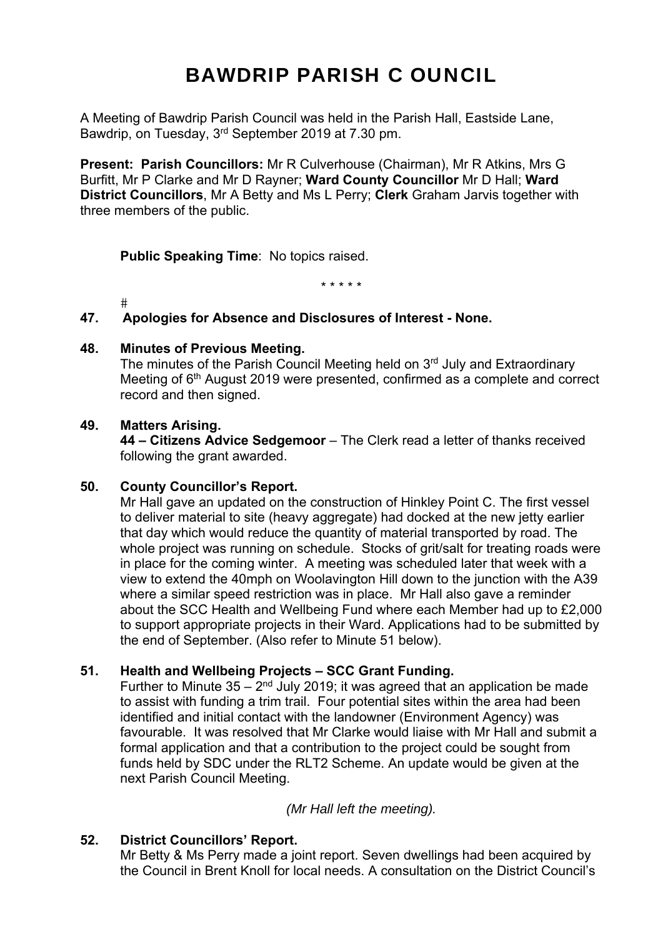# BAWDRIP PARISH C OUNCIL

A Meeting of Bawdrip Parish Council was held in the Parish Hall, Eastside Lane, Bawdrip, on Tuesday, 3rd September 2019 at 7.30 pm.

**Present: Parish Councillors:** Mr R Culverhouse (Chairman), Mr R Atkins, Mrs G Burfitt, Mr P Clarke and Mr D Rayner; **Ward County Councillor** Mr D Hall; **Ward District Councillors**, Mr A Betty and Ms L Perry; **Clerk** Graham Jarvis together with three members of the public.

**Public Speaking Time**: No topics raised.

\* \* \* \* \*

 $#$ 

#### **47. Apologies for Absence and Disclosures of Interest - None.**

#### **48. Minutes of Previous Meeting.**

The minutes of the Parish Council Meeting held on 3<sup>rd</sup> July and Extraordinary Meeting of 6<sup>th</sup> August 2019 were presented, confirmed as a complete and correct record and then signed.

#### **49. Matters Arising.**

**44 – Citizens Advice Sedgemoor** – The Clerk read a letter of thanks received following the grant awarded.

#### **50. County Councillor's Report.**

Mr Hall gave an updated on the construction of Hinkley Point C. The first vessel to deliver material to site (heavy aggregate) had docked at the new jetty earlier that day which would reduce the quantity of material transported by road. The whole project was running on schedule. Stocks of grit/salt for treating roads were in place for the coming winter. A meeting was scheduled later that week with a view to extend the 40mph on Woolavington Hill down to the junction with the A39 where a similar speed restriction was in place. Mr Hall also gave a reminder about the SCC Health and Wellbeing Fund where each Member had up to £2,000 to support appropriate projects in their Ward. Applications had to be submitted by the end of September. (Also refer to Minute 51 below).

#### **51. Health and Wellbeing Projects – SCC Grant Funding.**

Further to Minute  $35 - 2^{nd}$  July 2019; it was agreed that an application be made to assist with funding a trim trail. Four potential sites within the area had been identified and initial contact with the landowner (Environment Agency) was favourable. It was resolved that Mr Clarke would liaise with Mr Hall and submit a formal application and that a contribution to the project could be sought from funds held by SDC under the RLT2 Scheme. An update would be given at the next Parish Council Meeting.

*(Mr Hall left the meeting).* 

#### **52. District Councillors' Report.**

Mr Betty & Ms Perry made a joint report. Seven dwellings had been acquired by the Council in Brent Knoll for local needs. A consultation on the District Council's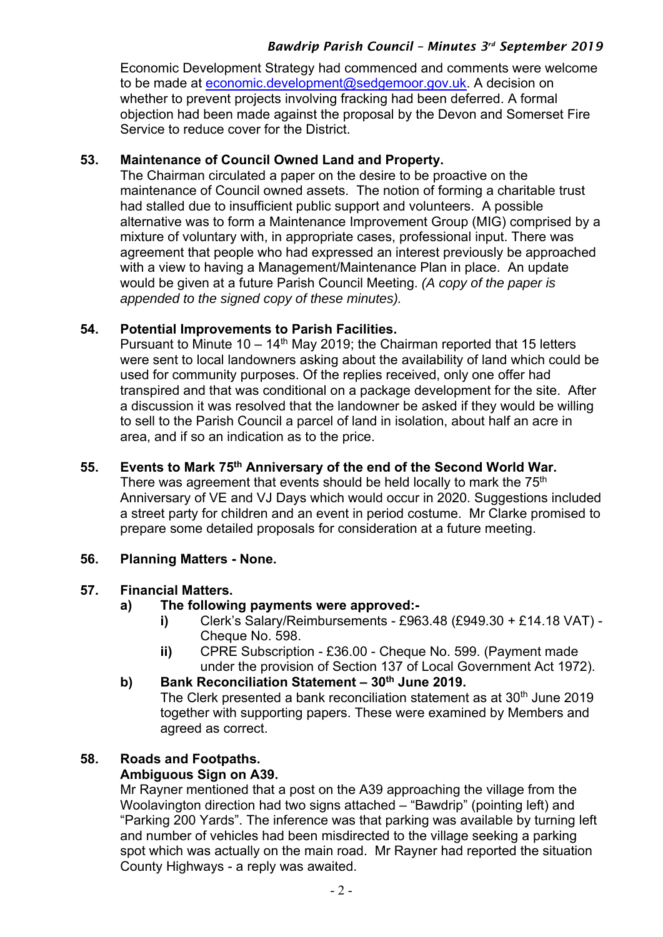# *Bawdrip Parish Council – Minutes 3rd September 2019*

Economic Development Strategy had commenced and comments were welcome to be made at economic.development@sedgemoor.gov.uk. A decision on whether to prevent projects involving fracking had been deferred. A formal objection had been made against the proposal by the Devon and Somerset Fire Service to reduce cover for the District.

#### **53. Maintenance of Council Owned Land and Property.**

The Chairman circulated a paper on the desire to be proactive on the maintenance of Council owned assets. The notion of forming a charitable trust had stalled due to insufficient public support and volunteers. A possible alternative was to form a Maintenance Improvement Group (MIG) comprised by a mixture of voluntary with, in appropriate cases, professional input. There was agreement that people who had expressed an interest previously be approached with a view to having a Management/Maintenance Plan in place. An update would be given at a future Parish Council Meeting. *(A copy of the paper is appended to the signed copy of these minutes).* 

### **54. Potential Improvements to Parish Facilities.**

Pursuant to Minute  $10 - 14$ <sup>th</sup> May 2019; the Chairman reported that 15 letters were sent to local landowners asking about the availability of land which could be used for community purposes. Of the replies received, only one offer had transpired and that was conditional on a package development for the site. After a discussion it was resolved that the landowner be asked if they would be willing to sell to the Parish Council a parcel of land in isolation, about half an acre in area, and if so an indication as to the price.

#### **55. Events to Mark 75th Anniversary of the end of the Second World War.**

There was agreement that events should be held locally to mark the 75<sup>th</sup> Anniversary of VE and VJ Days which would occur in 2020. Suggestions included a street party for children and an event in period costume. Mr Clarke promised to prepare some detailed proposals for consideration at a future meeting.

## **56. Planning Matters - None.**

#### **57. Financial Matters.**

#### **a) The following payments were approved:-**

- **i)** Clerk's Salary/Reimbursements £963.48 (£949.30 + £14.18 VAT) Cheque No. 598.
- **ii)** CPRE Subscription £36.00 Cheque No. 599. (Payment made under the provision of Section 137 of Local Government Act 1972).

#### b) Bank Reconciliation Statement – 30<sup>th</sup> June 2019.

The Clerk presented a bank reconciliation statement as at 30<sup>th</sup> June 2019 together with supporting papers. These were examined by Members and agreed as correct.

#### **58. Roads and Footpaths. Ambiguous Sign on A39.**

Mr Rayner mentioned that a post on the A39 approaching the village from the Woolavington direction had two signs attached – "Bawdrip" (pointing left) and "Parking 200 Yards". The inference was that parking was available by turning left and number of vehicles had been misdirected to the village seeking a parking spot which was actually on the main road. Mr Rayner had reported the situation County Highways - a reply was awaited.